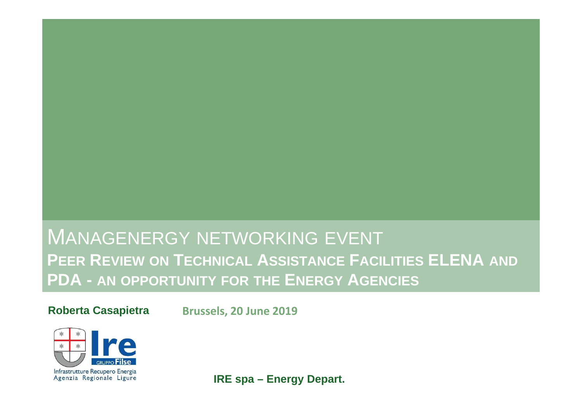## MANAGENERGY NETWORKING EVENT<br>BEER BEWEW 21: TERUWALL ARRISELUSE ELSI **PEER <sup>R</sup>EVIEW ON <sup>T</sup>ECHNICAL <sup>A</sup>SSISTANCE <sup>F</sup>ACILITIES ELENA AND PDA - AN OPPORTUNITY FOR THE <sup>E</sup>NERGY <sup>A</sup>GENCIES**

**Roberta Casapietra**

**Brussels, 20 June <sup>2019</sup>**



**IRE spa – Energy Depart.**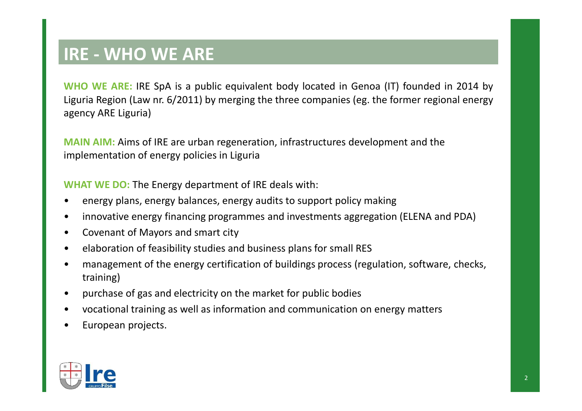## **IRE - WHO WE ARE**

**WHO** WE ARE: IRE SpA is a public equivalent body located in Genoa (IT) founded in 2014 by Liguria Region (Law nr. 6/2011) by merging the three companies (eg. the former regional energy agency ARE Liguria)

**MAIN AIM:** Aims of IRE are urban regeneration, infrastructures development and the implementation of energy policies in Liguria

**WHAT WE DO:** The Energy department of IRE deals with:

- •energy plans, energy balances, energy audits to support policy making
- •innovative energy financing programmes and investments aggregation (ELENA and PDA)
- •Covenant of Mayors and smart city
- •elaboration of feasibility studies and business plans for small RES
- • management of the energy certification of buildings process (regulation, software, checks, training)
- •purchase of gas and electricity on the market for public bodies
- •vocational training as well as information and communication on energy matters
- •European projects.

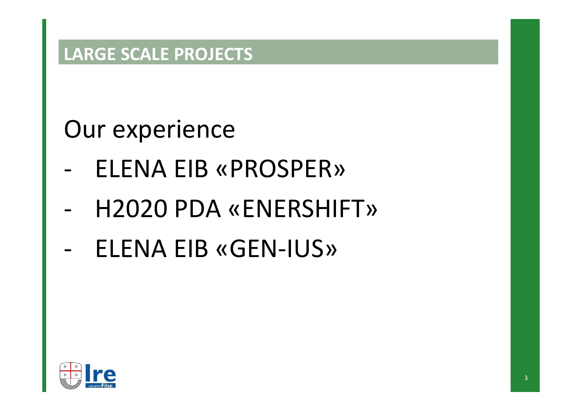## **LARGE SCALE PROJECTS**

Our experience

- -ELENA EIB «PROSPER»
- -H2020 PDA «ENERSHIFT»
- -ELENA EIB «GEN-IUS»

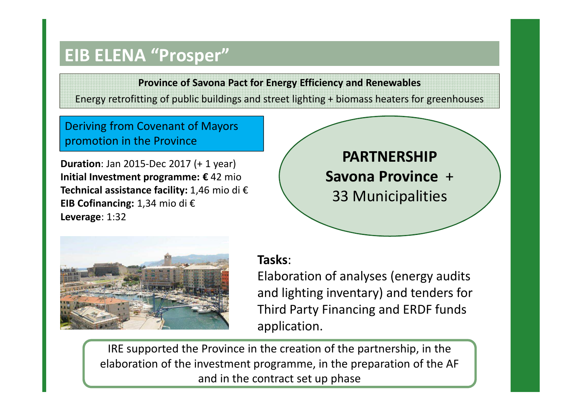## **EIB ELENA "Prosper"**

**Province of Savona Pact for Energy Efficiency and Renewables** Energy retrofitting of public buildings and street lighting + biomass heaters for greenhouses

Deriving from Covenant of Mayors promotion in the Province

**Duration**: Jan 2015-Dec 2017 (+ 1 year) **Initial Investment programme: €** 42 mio **Technical assistance facility:** 1,46 mio di €**EIB Cofinancing:** 1,34 mio di €**Leverage**: 1:32

**Savona Province** + 33 Municipalities **PARTNERSHIP** 



#### **Tasks**:

Elaboration of analyses (energy audits and lighting inventary) and tenders for Third Party Financing and ERDF funds application.

IRE supported the Province in the creation of the partnership, in the elaboration of the investment programme, in the preparation of the AF and in the contract set up phase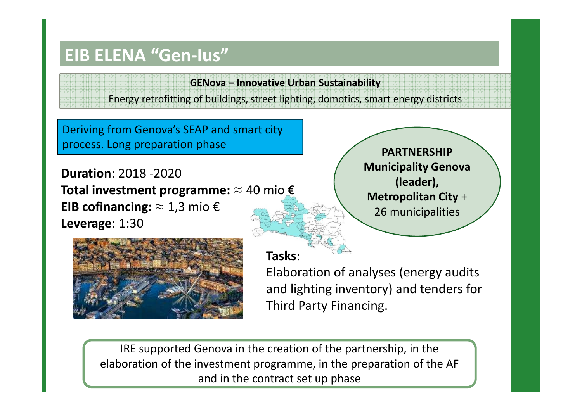## **EIB ELENA "Gen-Ius"**

**GENova – Innovative Urban Sustainability** Energy retrofitting of buildings, street lighting, domotics, smart energy districts

Deriving from Genova's SEAP and smart city process. Long preparation phase

**Duration**: 2018 -2020 **Total investment programme:** ≈ 40 mio €**EIB cofinancing:** ≈ 1,3 mio €**Leverage**: 1:30



**Participanty Schova Sander**), **Example 2**  aderenti**Metropolitan City** <sup>+</sup> **PARTNERSHIP Municipality Genova** 26 municipalities

#### **Tasks**:

Elaboration of analyses (energy audits and lighting inventory) and tenders for Third Party Financing.

IRE supported Genova in the creation of the partnership, in the elaboration of the investment programme, in the preparation of the AF and in the contract set up phase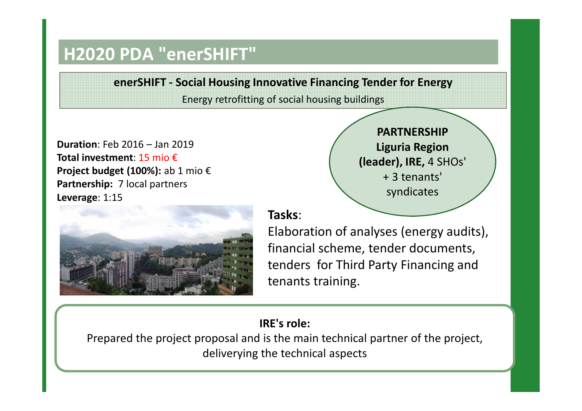## **H2020 PDA "enerSHIFT"**

**enerSHIFT - Social Housing Innovative Financing Tender for Energy** Energy retrofitting of social housing buildings

**Duration**: Feb 2016 – Jan 2019**Total investment**: 15 mio € **Project budget (100%):** ab 1 mio €**Partnership:** 7 local partners **Leverage**: 1:15



**PARTNERSHIP Liguria Region (leader), IRE,** 4 SHOs' + 3 tenants' syndicates

#### **Tasks**:

Elaboration of analyses (energy audits), financial scheme, tender documents, tenders for Third Party Financing and tenants training.

#### **IRE's role:**

Prepared the project proposal and is the main technical partner of the project, deliverying the technical aspects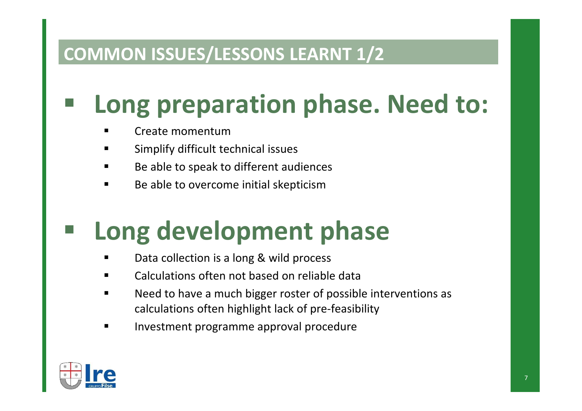## **COMMON ISSUES/LESSONS LEARNT 1/2**

# **Long preparation phase. Need to:**

- Create momentum
- **Examplify difficult technical issues**  $\blacksquare$
- Be able to speak to different audiences
- $\blacksquare$ Be able to overcome initial skepticism

## **Long development phase**

- Data collection is a long & wild process
- Calculations often not based on reliable data
- Need to have a much bigger roster of possible interventions as calculations often highlight lack of pre-feasibility
- Investment programme approval procedure

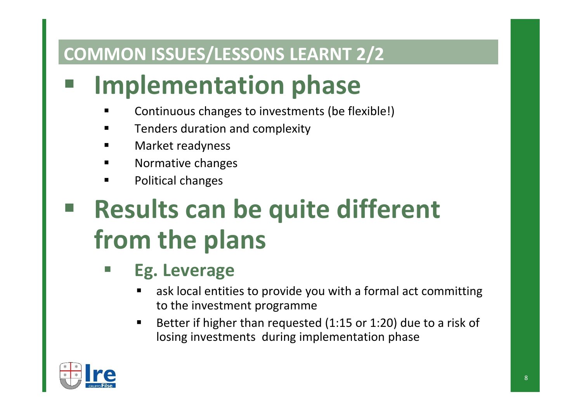## **COMMON ISSUES/LESSONS LEARNT 2/2**

# **Implementation phase**

- Continuous changes to investments (be flexible!)
- $\blacksquare$ Tenders duration and complexity
- $\blacksquare$ Market readyness
- $\blacksquare$ Normative changes
- $\blacksquare$ Political changes

# **Results can be quite different from the plans**

- П **Eg. Leverage**
	- **EXA)** ask local entities to provide you with a formal act committing to the investment programme
	- Better if higher than requested (1:15 or 1:20) due to a risk of losing investments during implementation phase

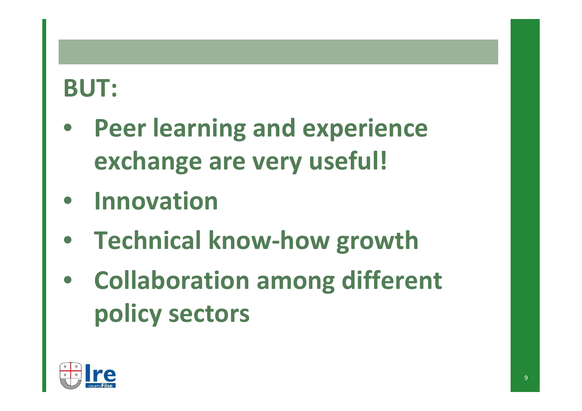## **BUT:**

- $\bullet$  **Peer learning and experienceexchange are very useful!**
- •**Innovation**
- **Technical know-how growth**
- • **Collaboration among different policy sectors**